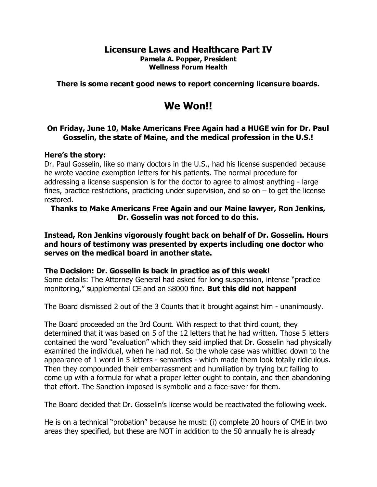## Licensure Laws and Healthcare Part IV Pamela A. Popper, President Wellness Forum Health

There is some recent good news to report concerning licensure boards.

# We Won!!

## On Friday, June 10, Make Americans Free Again had a HUGE win for Dr. Paul Gosselin, the state of Maine, and the medical profession in the U.S.!

#### Here's the story:

Dr. Paul Gosselin, like so many doctors in the U.S., had his license suspended because he wrote vaccine exemption letters for his patients. The normal procedure for addressing a license suspension is for the doctor to agree to almost anything - large fines, practice restrictions, practicing under supervision, and so on – to get the license restored.

## Thanks to Make Americans Free Again and our Maine lawyer, Ron Jenkins, Dr. Gosselin was not forced to do this.

Instead, Ron Jenkins vigorously fought back on behalf of Dr. Gosselin. Hours and hours of testimony was presented by experts including one doctor who serves on the medical board in another state.

## The Decision: Dr. Gosselin is back in practice as of this week!

Some details: The Attorney General had asked for long suspension, intense "practice monitoring," supplemental CE and an \$8000 fine. But this did not happen!

The Board dismissed 2 out of the 3 Counts that it brought against him - unanimously.

The Board proceeded on the 3rd Count. With respect to that third count, they determined that it was based on 5 of the 12 letters that he had written. Those 5 letters contained the word "evaluation" which they said implied that Dr. Gosselin had physically examined the individual, when he had not. So the whole case was whittled down to the appearance of 1 word in 5 letters - semantics - which made them look totally ridiculous. Then they compounded their embarrassment and humiliation by trying but failing to come up with a formula for what a proper letter ought to contain, and then abandoning that effort. The Sanction imposed is symbolic and a face-saver for them.

The Board decided that Dr. Gosselin's license would be reactivated the following week.

He is on a technical "probation" because he must: (i) complete 20 hours of CME in two areas they specified, but these are NOT in addition to the 50 annually he is already